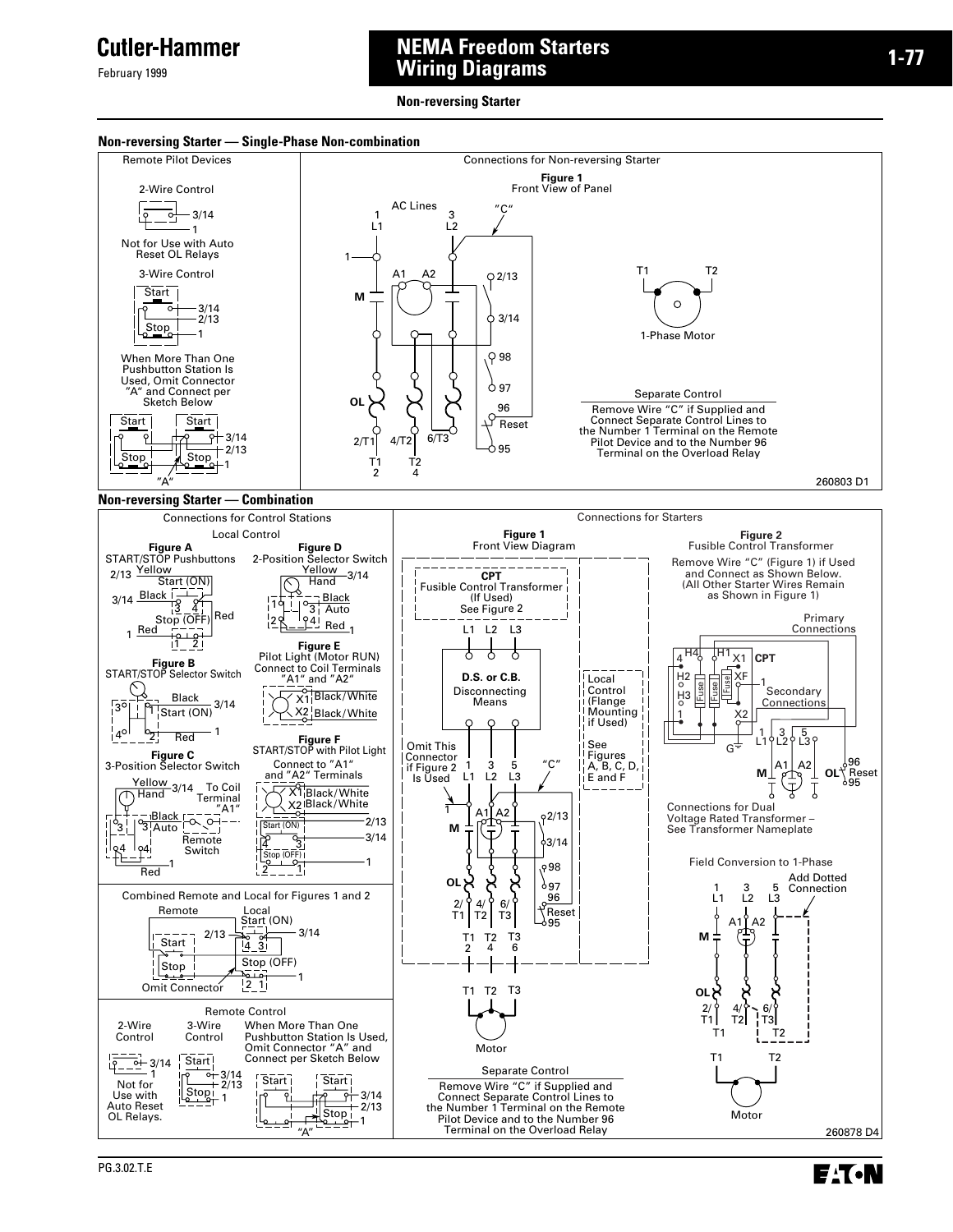February 1999

## **NEMA Freedom Starters Wiring Diagrams**

**Non-reversing Starter**

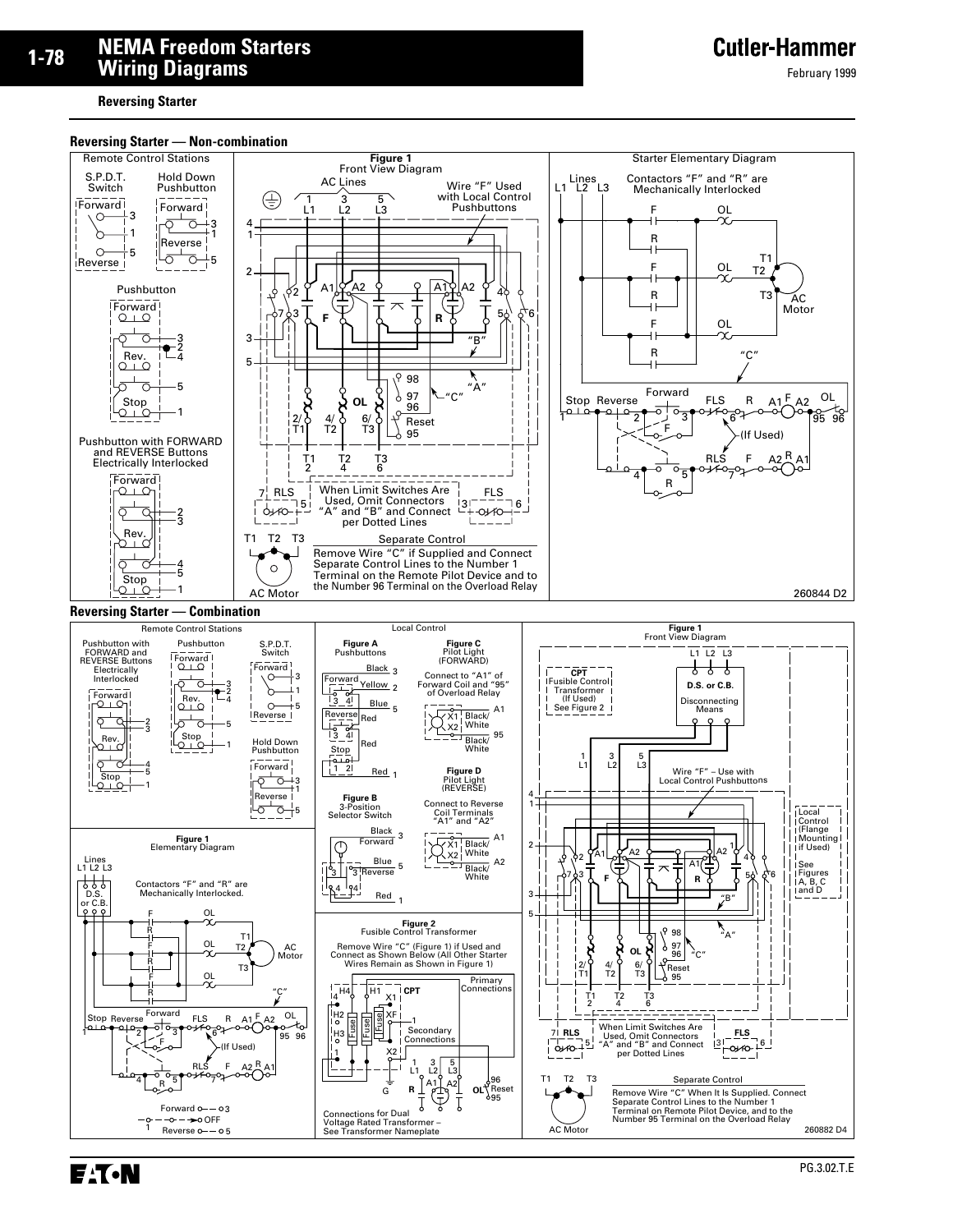**Reversing Starter**

#### **Reversing Starter — Non-combination**

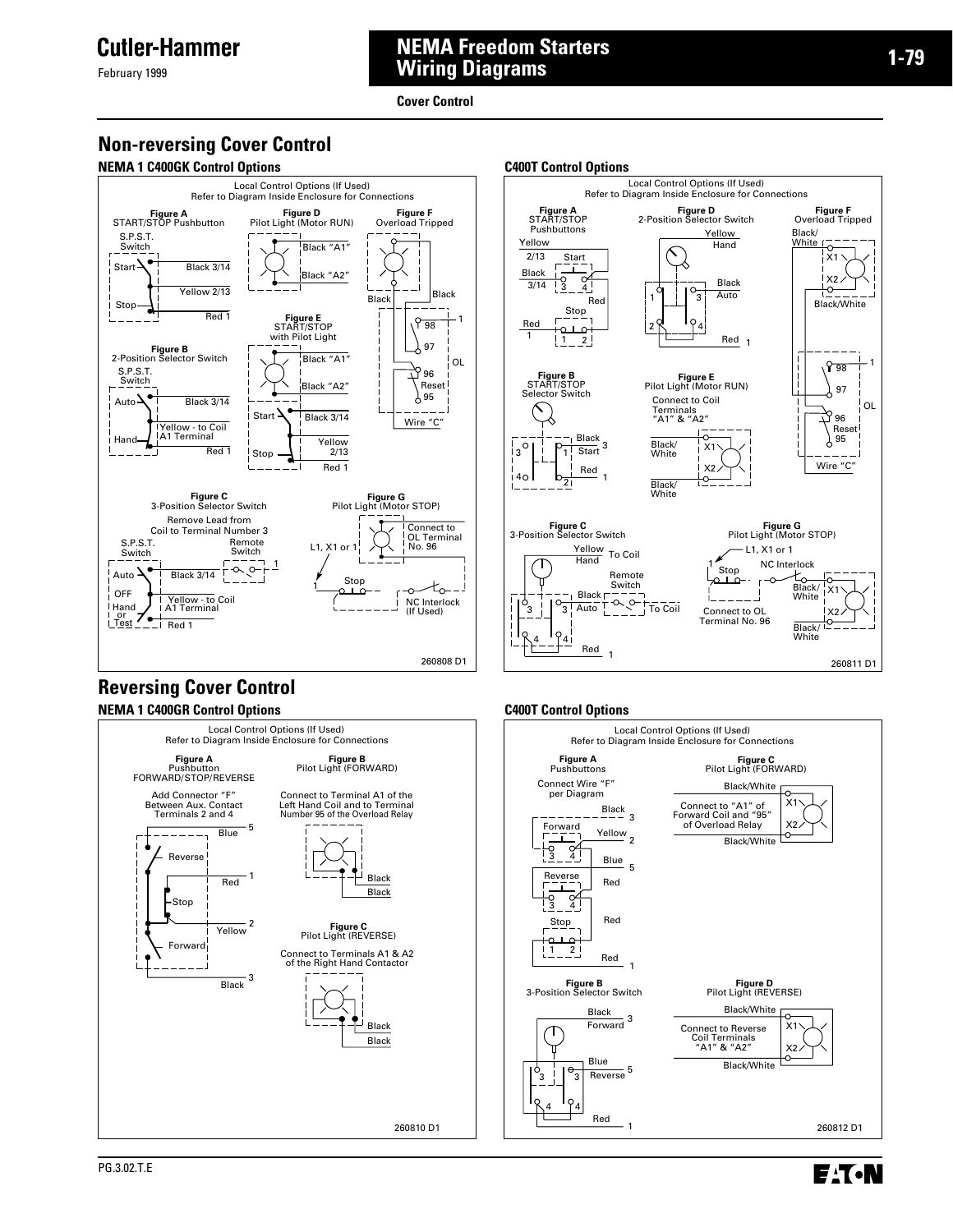February 1999

## **NEMA Freedom Starters Wiring Diagrams**

**Cover Control**

## **Non-reversing Cover Control**

#### **NEMA 1 C400GK Control Options** CADE CAND CANDER CONTROLLER CONTROLLER CONTROLLER CONTROLLER CONTROLLER CONTROLLER







Refer to Diagram Inside Enclosure for Connections **Figure F Figure A** START/STOP **Figure D**<br>2-Position Selector Switch Overload Tripped Pushbuttons Yellow Black/ Yellow **Hand** White ↸  $\frac{2}{13}$ Start X1 Ξī Black ៑  $\frac{1}{4}$  $X2$ Black 3/14  $\frac{1}{3}$ l O Auto  $\sqrt{3}$ Red Black/White Stop  $\varphi_4$ Red منه 1  $\frac{1}{2}$ Red <sub>1</sub> 898 1 **Figure B**<br>START/STOP<br>Selector Switch **Figure E** Pilot Light (Motor RUN) 97 Connect to Coil OL Κ Terminals "A1" & "A2" 96 م ≺∖ Reset  $6\frac{105}{95}$ Black  $13^{\circ}$ Black/  $\frac{1}{1}$  Start <sup>3</sup>  $\frac{1}{1}$  X1 **White** Wire "C" Red  $x<sub>2</sub>$  $b_{\overline{2|}}$ i 40 l 1 Black/ **White Figure C** 3-Position Selector Switch **Figure G** Pilot Light (Motor STOP) L1, X1 or 1 Yellow<br>Hand า NC Interlock Stop Remote Switch Black/ Black<sub>r</sub>  $-\frac{5}{3}$ White  $\overline{O}$  $\sim$   $\sim$  $\leq$   $\frac{1}{10}$  Coil Auto<sup>T</sup>  $\overline{3}$ Connect to OL  $\overline{2}$ .<br>L \_ \_ Terminal No. 96 Black/ White  $\frac{941}{1}$ Red<sub>1</sub> 260811 D1

Local Control Options (If Used)

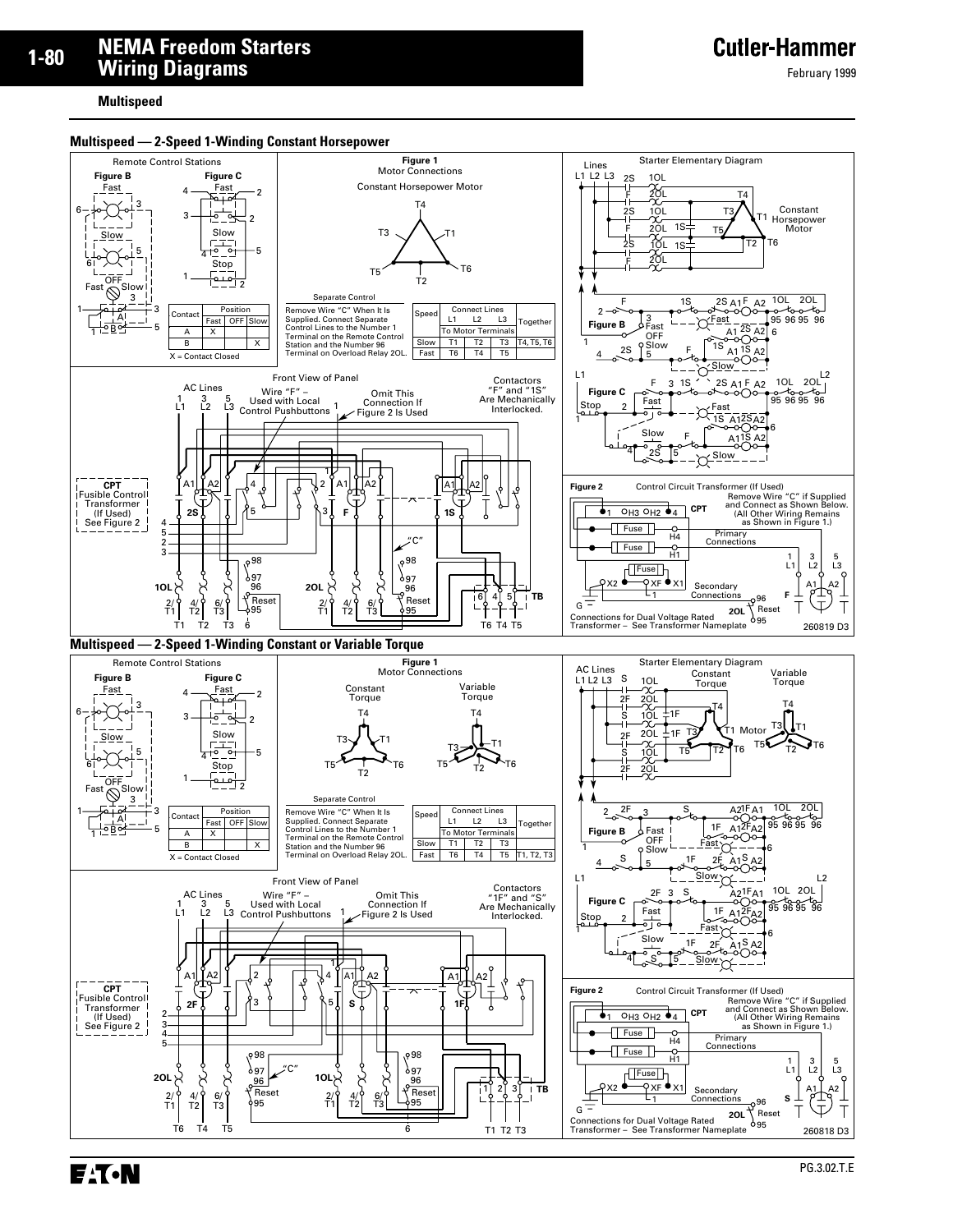#### **Multispeed**

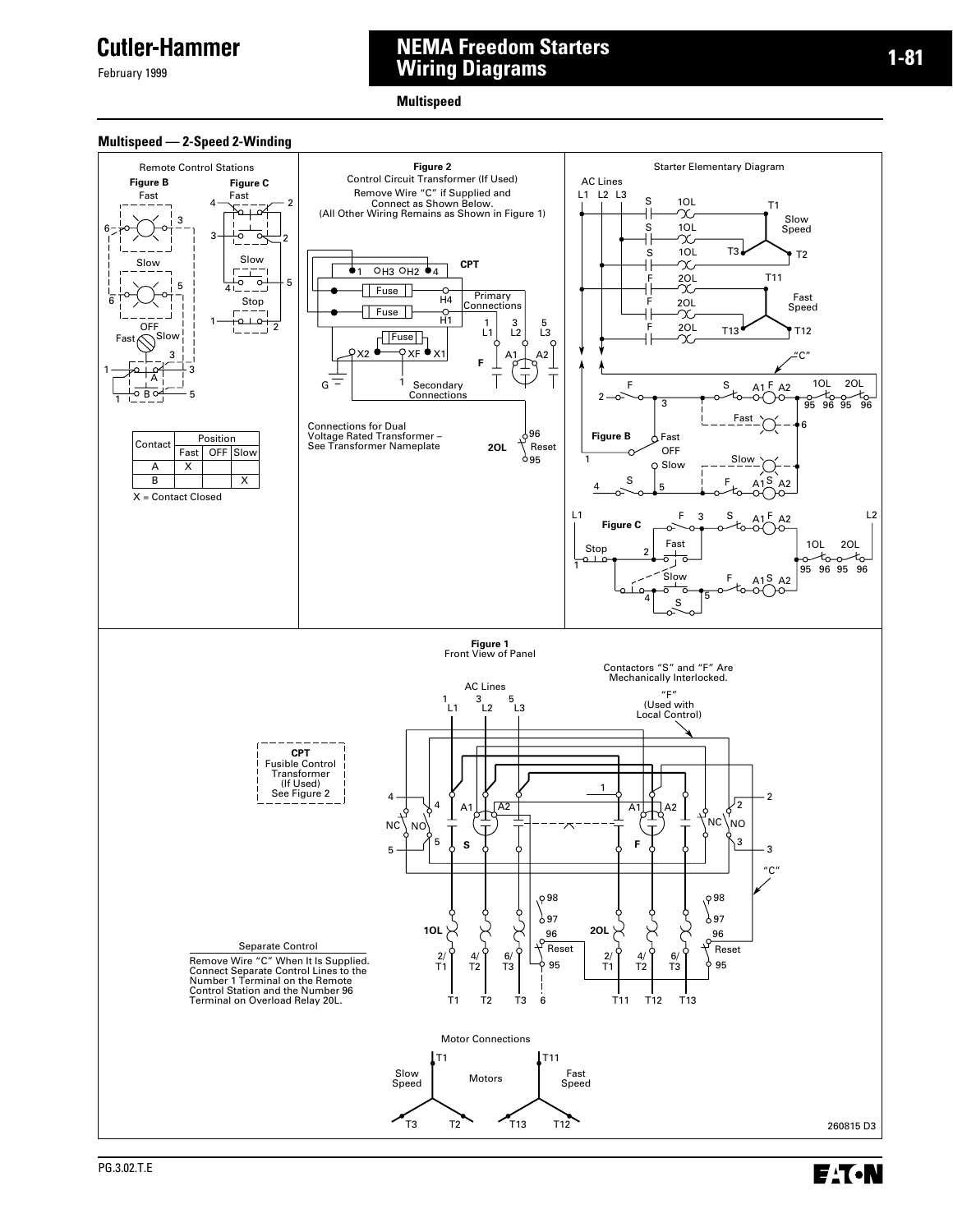February 1999

## **NEMA Freedom Starters Wiring Diagrams**

**Multispeed**

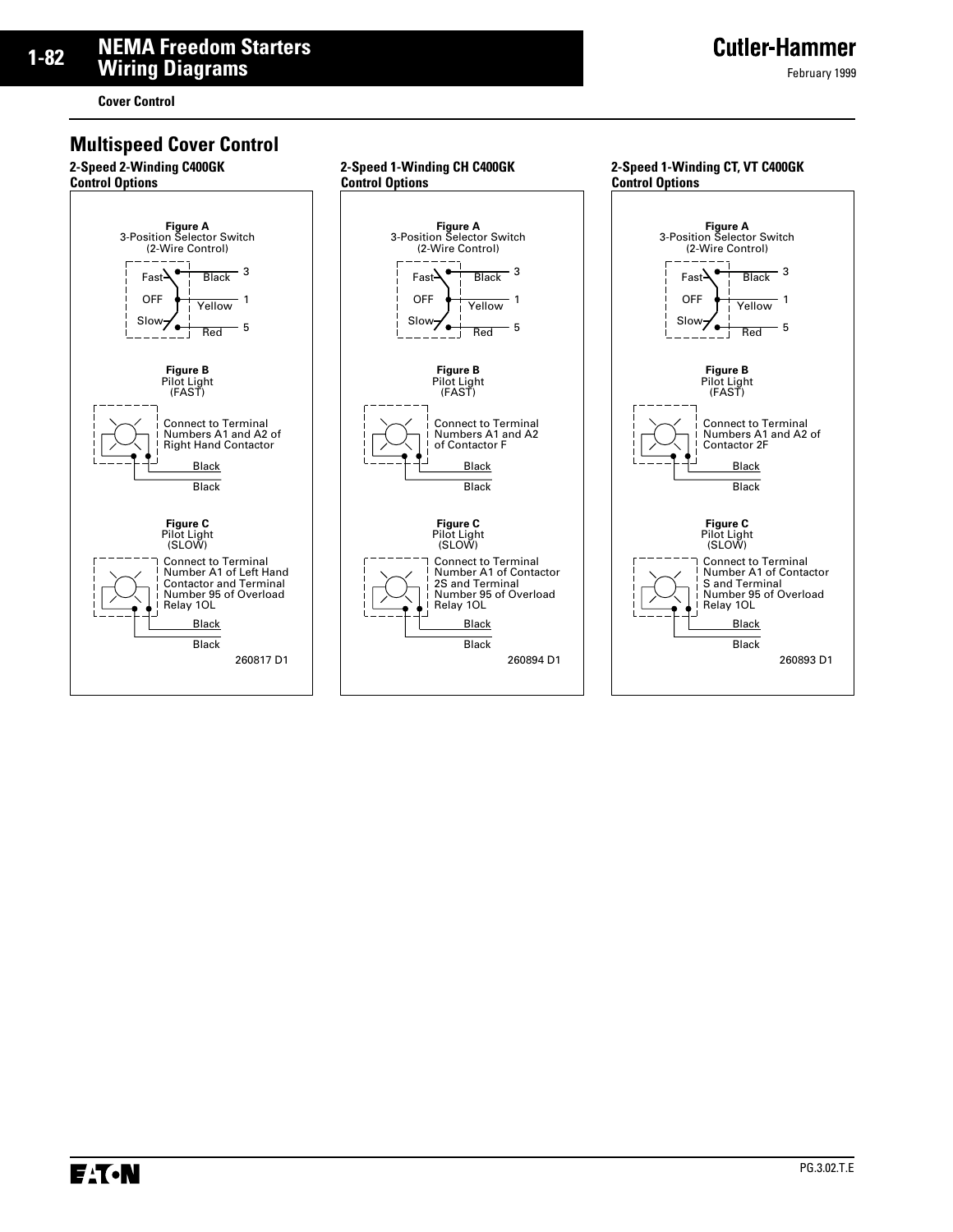**Cover Control**

### **Multispeed Cover Control**

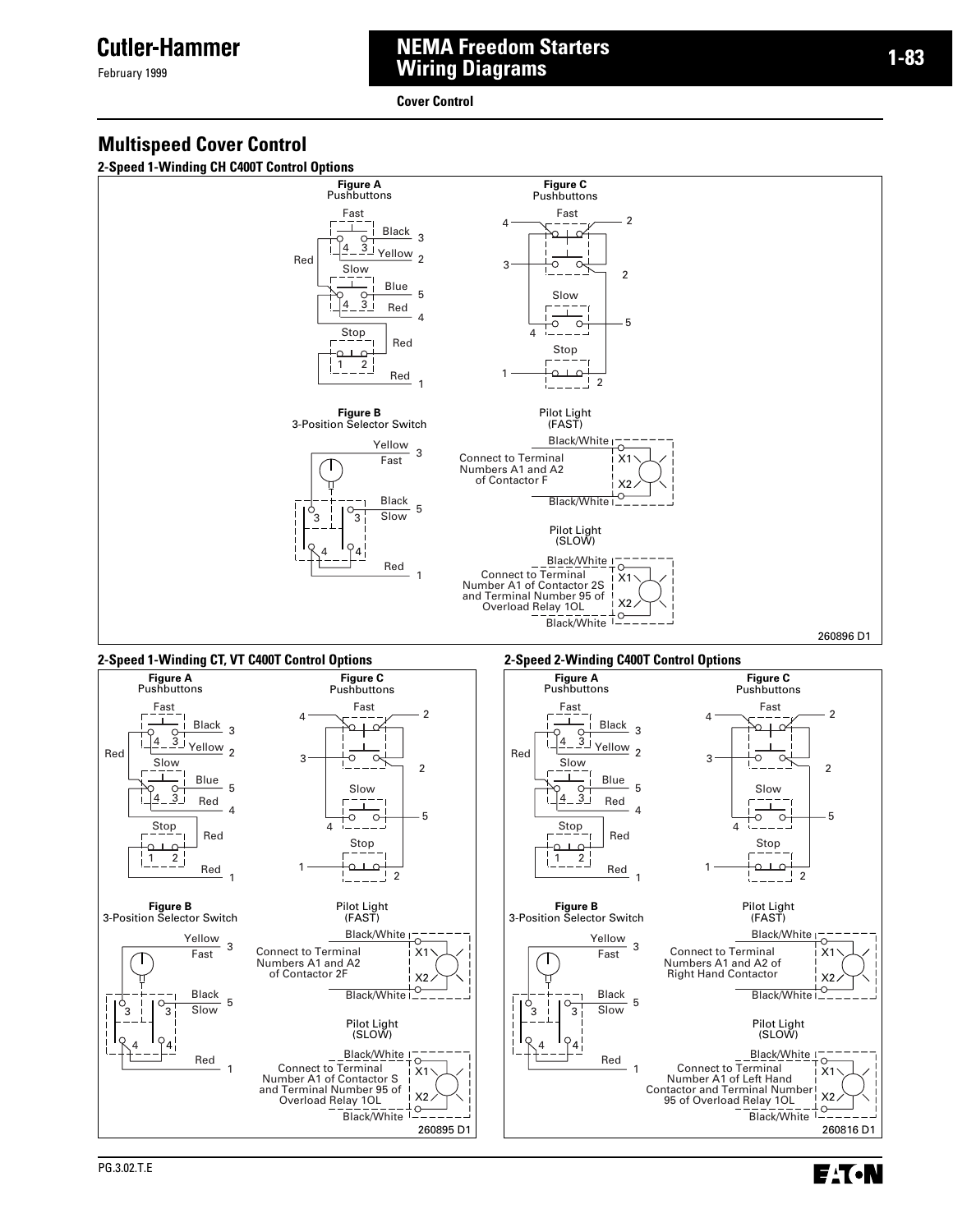February 1999

### **NEMA Freedom Starters Wiring Diagrams**

**Cover Control**



**2-Speed 1-Winding CH C400T Control Options**



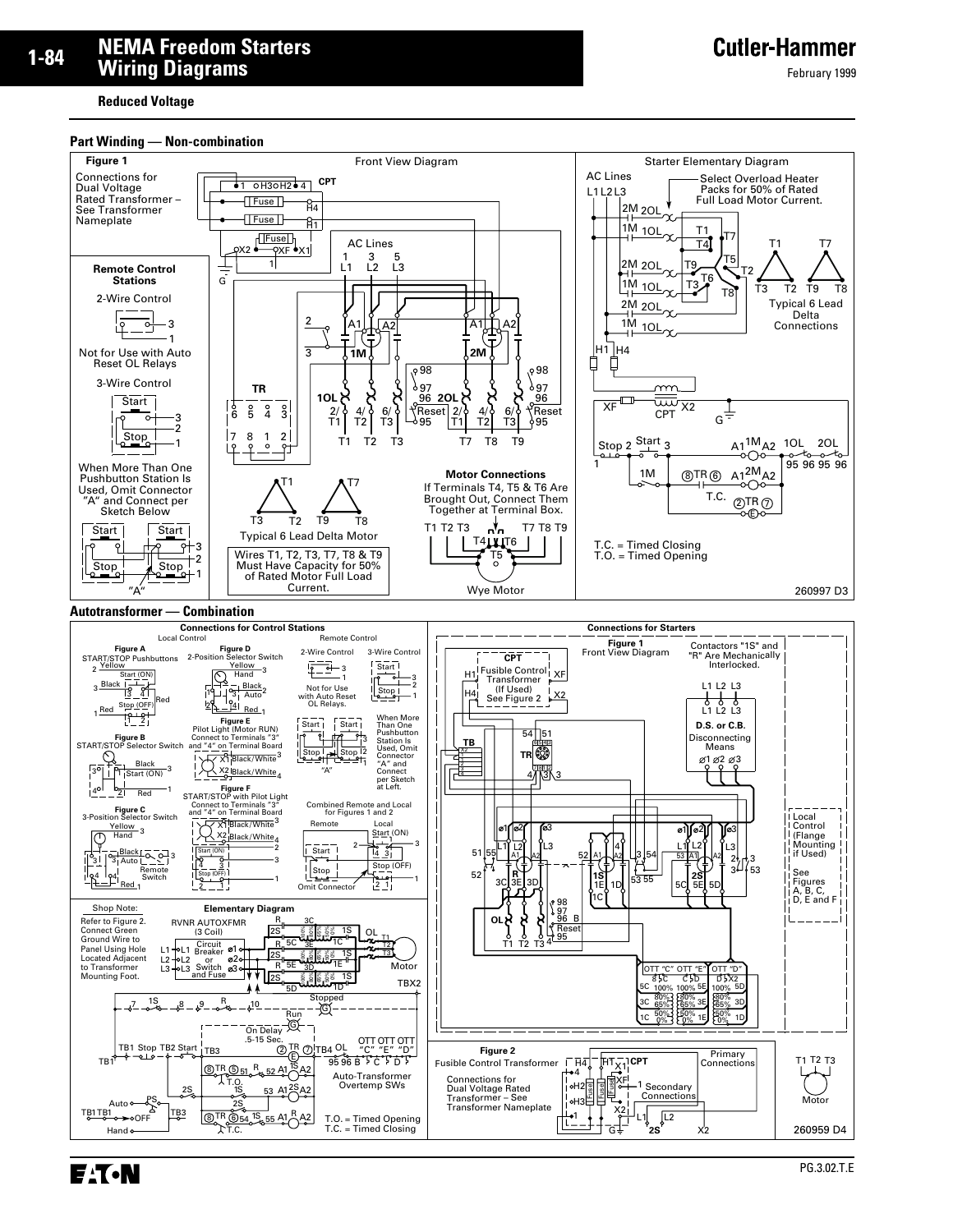**Reduced Voltage**

#### **Part Winding — Non-combination**